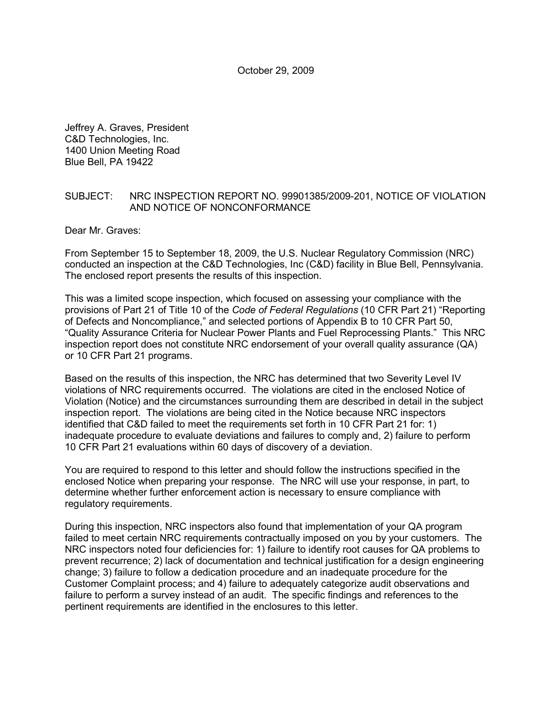Jeffrey A. Graves, President C&D Technologies, Inc. 1400 Union Meeting Road Blue Bell, PA 19422

## SUBJECT: NRC INSPECTION REPORT NO. 99901385/2009-201, NOTICE OF VIOLATION AND NOTICE OF NONCONFORMANCE

Dear Mr. Graves:

From September 15 to September 18, 2009, the U.S. Nuclear Regulatory Commission (NRC) conducted an inspection at the C&D Technologies, Inc (C&D) facility in Blue Bell, Pennsylvania. The enclosed report presents the results of this inspection.

This was a limited scope inspection, which focused on assessing your compliance with the provisions of Part 21 of Title 10 of the *Code of Federal Regulations* (10 CFR Part 21) "Reporting of Defects and Noncompliance," and selected portions of Appendix B to 10 CFR Part 50, "Quality Assurance Criteria for Nuclear Power Plants and Fuel Reprocessing Plants." This NRC inspection report does not constitute NRC endorsement of your overall quality assurance (QA) or 10 CFR Part 21 programs.

Based on the results of this inspection, the NRC has determined that two Severity Level IV violations of NRC requirements occurred. The violations are cited in the enclosed Notice of Violation (Notice) and the circumstances surrounding them are described in detail in the subject inspection report. The violations are being cited in the Notice because NRC inspectors identified that C&D failed to meet the requirements set forth in 10 CFR Part 21 for: 1) inadequate procedure to evaluate deviations and failures to comply and, 2) failure to perform 10 CFR Part 21 evaluations within 60 days of discovery of a deviation.

You are required to respond to this letter and should follow the instructions specified in the enclosed Notice when preparing your response. The NRC will use your response, in part, to determine whether further enforcement action is necessary to ensure compliance with regulatory requirements.

During this inspection, NRC inspectors also found that implementation of your QA program failed to meet certain NRC requirements contractually imposed on you by your customers. The NRC inspectors noted four deficiencies for: 1) failure to identify root causes for QA problems to prevent recurrence; 2) lack of documentation and technical justification for a design engineering change; 3) failure to follow a dedication procedure and an inadequate procedure for the Customer Complaint process; and 4) failure to adequately categorize audit observations and failure to perform a survey instead of an audit. The specific findings and references to the pertinent requirements are identified in the enclosures to this letter.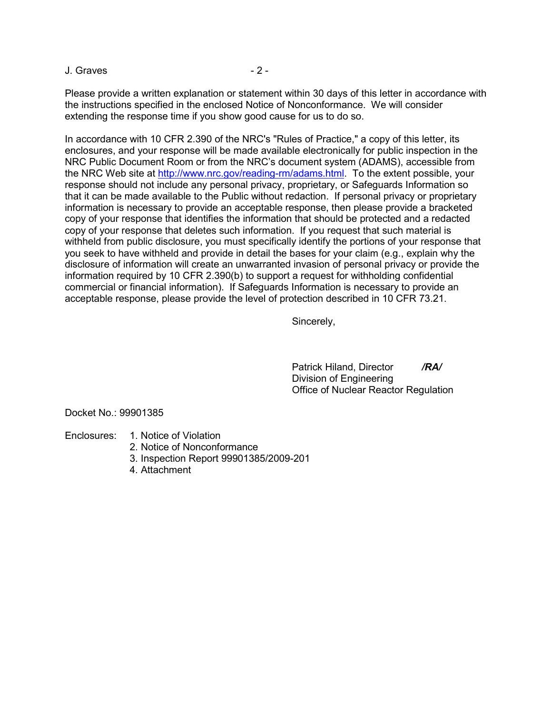J. Graves 2 -

Please provide a written explanation or statement within 30 days of this letter in accordance with the instructions specified in the enclosed Notice of Nonconformance. We will consider extending the response time if you show good cause for us to do so.

In accordance with 10 CFR 2.390 of the NRC's "Rules of Practice," a copy of this letter, its enclosures, and your response will be made available electronically for public inspection in the NRC Public Document Room or from the NRC's document system (ADAMS), accessible from the NRC Web site at http://www.nrc.gov/reading-rm/adams.html. To the extent possible, your response should not include any personal privacy, proprietary, or Safeguards Information so that it can be made available to the Public without redaction. If personal privacy or proprietary information is necessary to provide an acceptable response, then please provide a bracketed copy of your response that identifies the information that should be protected and a redacted copy of your response that deletes such information. If you request that such material is withheld from public disclosure, you must specifically identify the portions of your response that you seek to have withheld and provide in detail the bases for your claim (e.g., explain why the disclosure of information will create an unwarranted invasion of personal privacy or provide the information required by 10 CFR 2.390(b) to support a request for withholding confidential commercial or financial information). If Safeguards Information is necessary to provide an acceptable response, please provide the level of protection described in 10 CFR 73.21.

Sincerely,

 Patrick Hiland, Director */RA/* Division of Engineering Office of Nuclear Reactor Regulation

Docket No.: 99901385

- Enclosures: 1. Notice of Violation
	- 2. Notice of Nonconformance
	- 3. Inspection Report 99901385/2009-201
	- 4. Attachment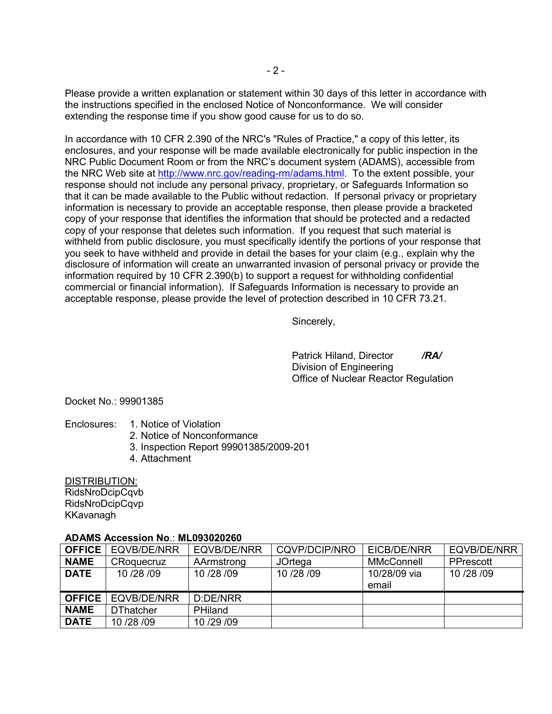Please provide a written explanation or statement within 30 days of this letter in accordance with the instructions specified in the enclosed Notice of Nonconformance. We will consider extending the response time if you show good cause for us to do so.

In accordance with 10 CFR 2.390 of the NRC's "Rules of Practice," a copy of this letter, its enclosures, and your response will be made available electronically for public inspection in the NRC Public Document Room or from the NRC's document system (ADAMS), accessible from the NRC Web site at http://www.nrc.gov/reading-rm/adams.html. To the extent possible, your response should not include any personal privacy, proprietary, or Safeguards Information so that it can be made available to the Public without redaction. If personal privacy or proprietary information is necessary to provide an acceptable response, then please provide a bracketed copy of your response that identifies the information that should be protected and a redacted copy of your response that deletes such information. If you request that such material is withheld from public disclosure, you must specifically identify the portions of your response that you seek to have withheld and provide in detail the bases for your claim (e.g., explain why the disclosure of information will create an unwarranted invasion of personal privacy or provide the information required by 10 CFR 2.390(b) to support a request for withholding confidential commercial or financial information). If Safeguards Information is necessary to provide an acceptable response, please provide the level of protection described in 10 CFR 73.21.

Sincerely,

 Patrick Hiland, Director */RA/* Division of Engineering Office of Nuclear Reactor Regulation

Docket No.: 99901385

- Enclosures: 1. Notice of Violation
	- 2. Notice of Nonconformance
	- 3. Inspection Report 99901385/2009-201
	- 4. Attachment

DISTRIBUTION: RidsNroDcipCqvb RidsNroDcipCqvp KKavanagh

### **ADAMS Accession No**.: **ML093020260**

| <b>OFFICE</b> | EQVB/DE/NRR      | EQVB/DE/NRR        | CQVP/DCIP/NRO | EICB/DE/NRR           | EQVB/DE/NRR |
|---------------|------------------|--------------------|---------------|-----------------------|-------------|
| <b>NAME</b>   | CRoquecruz       | AArmstrong         | JOrtega       | MMcConnell            | PPrescott   |
| <b>DATE</b>   | 10/28/09         | 10/28/09           | 10/28/09      | 10/28/09 via<br>email | 10/28/09    |
| <b>OFFICE</b> | EQVB/DE/NRR      | $D^{\cdot}$ DF/NRR |               |                       |             |
| <b>NAME</b>   | <b>DThatcher</b> | <b>PHiland</b>     |               |                       |             |
| <b>DATE</b>   | 10/28/09         | 10/29/09           |               |                       |             |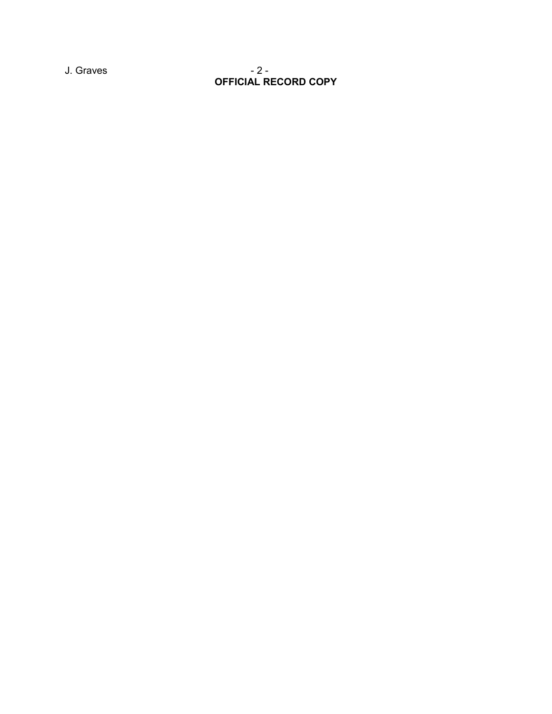J. Graves - 2 -**OFFICIAL RECORD COPY**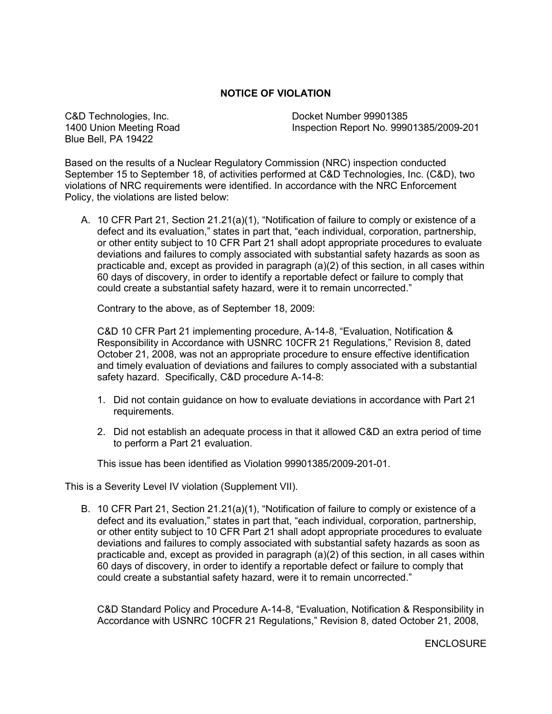# **NOTICE OF VIOLATION**

Blue Bell, PA 19422

C&D Technologies, Inc. C&D Technologies, Inc. 1400 Union Meeting Road Inspection Report No. 99901385/2009-201

Based on the results of a Nuclear Regulatory Commission (NRC) inspection conducted September 15 to September 18, of activities performed at C&D Technologies, Inc. (C&D), two violations of NRC requirements were identified. In accordance with the NRC Enforcement Policy, the violations are listed below:

A. 10 CFR Part 21, Section 21.21(a)(1), "Notification of failure to comply or existence of a defect and its evaluation," states in part that, "each individual, corporation, partnership, or other entity subject to 10 CFR Part 21 shall adopt appropriate procedures to evaluate deviations and failures to comply associated with substantial safety hazards as soon as practicable and, except as provided in paragraph  $(a)(2)$  of this section, in all cases within 60 days of discovery, in order to identify a reportable defect or failure to comply that could create a substantial safety hazard, were it to remain uncorrected."

Contrary to the above, as of September 18, 2009:

C&D 10 CFR Part 21 implementing procedure, A-14-8, "Evaluation, Notification & Responsibility in Accordance with USNRC 10CFR 21 Regulations," Revision 8, dated October 21, 2008, was not an appropriate procedure to ensure effective identification and timely evaluation of deviations and failures to comply associated with a substantial safety hazard. Specifically, C&D procedure A-14-8:

- 1. Did not contain guidance on how to evaluate deviations in accordance with Part 21 requirements.
- 2. Did not establish an adequate process in that it allowed C&D an extra period of time to perform a Part 21 evaluation.

This issue has been identified as Violation 99901385/2009-201-01.

This is a Severity Level IV violation (Supplement VII).

B. 10 CFR Part 21, Section 21.21(a)(1), "Notification of failure to comply or existence of a defect and its evaluation," states in part that, "each individual, corporation, partnership, or other entity subject to 10 CFR Part 21 shall adopt appropriate procedures to evaluate deviations and failures to comply associated with substantial safety hazards as soon as practicable and, except as provided in paragraph (a)(2) of this section, in all cases within 60 days of discovery, in order to identify a reportable defect or failure to comply that could create a substantial safety hazard, were it to remain uncorrected."

C&D Standard Policy and Procedure A-14-8, "Evaluation, Notification & Responsibility in Accordance with USNRC 10CFR 21 Regulations," Revision 8, dated October 21, 2008,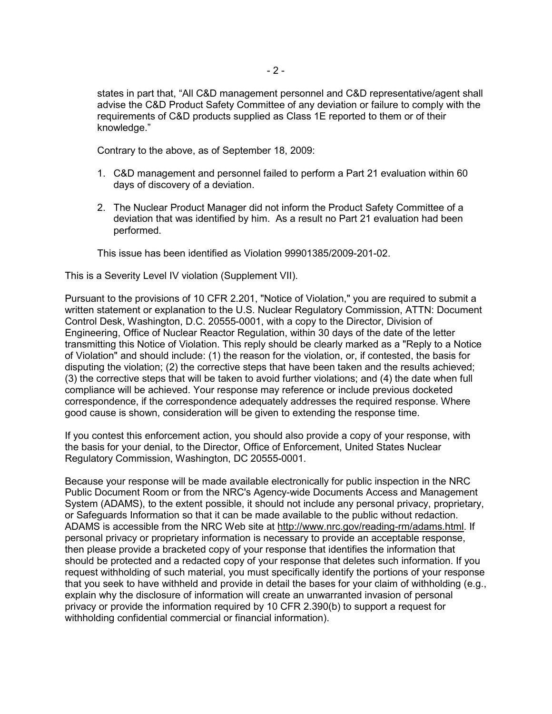states in part that, "All C&D management personnel and C&D representative/agent shall advise the C&D Product Safety Committee of any deviation or failure to comply with the requirements of C&D products supplied as Class 1E reported to them or of their knowledge."

Contrary to the above, as of September 18, 2009:

- 1. C&D management and personnel failed to perform a Part 21 evaluation within 60 days of discovery of a deviation.
- 2. The Nuclear Product Manager did not inform the Product Safety Committee of a deviation that was identified by him. As a result no Part 21 evaluation had been performed.

This issue has been identified as Violation 99901385/2009-201-02.

This is a Severity Level IV violation (Supplement VII).

Pursuant to the provisions of 10 CFR 2.201, "Notice of Violation," you are required to submit a written statement or explanation to the U.S. Nuclear Regulatory Commission, ATTN: Document Control Desk, Washington, D.C. 20555-0001, with a copy to the Director, Division of Engineering, Office of Nuclear Reactor Regulation, within 30 days of the date of the letter transmitting this Notice of Violation. This reply should be clearly marked as a "Reply to a Notice of Violation" and should include: (1) the reason for the violation, or, if contested, the basis for disputing the violation; (2) the corrective steps that have been taken and the results achieved; (3) the corrective steps that will be taken to avoid further violations; and (4) the date when full compliance will be achieved. Your response may reference or include previous docketed correspondence, if the correspondence adequately addresses the required response. Where good cause is shown, consideration will be given to extending the response time.

If you contest this enforcement action, you should also provide a copy of your response, with the basis for your denial, to the Director, Office of Enforcement, United States Nuclear Regulatory Commission, Washington, DC 20555-0001.

Because your response will be made available electronically for public inspection in the NRC Public Document Room or from the NRC's Agency-wide Documents Access and Management System (ADAMS), to the extent possible, it should not include any personal privacy, proprietary, or Safeguards Information so that it can be made available to the public without redaction. ADAMS is accessible from the NRC Web site at http://www.nrc.gov/reading-rm/adams.html. If personal privacy or proprietary information is necessary to provide an acceptable response, then please provide a bracketed copy of your response that identifies the information that should be protected and a redacted copy of your response that deletes such information. If you request withholding of such material, you must specifically identify the portions of your response that you seek to have withheld and provide in detail the bases for your claim of withholding (e.g., explain why the disclosure of information will create an unwarranted invasion of personal privacy or provide the information required by 10 CFR 2.390(b) to support a request for withholding confidential commercial or financial information).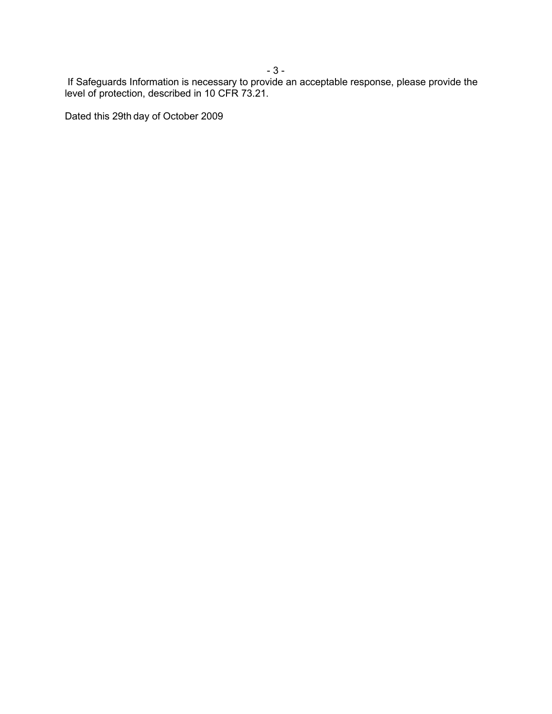- 3 -

 If Safeguards Information is necessary to provide an acceptable response, please provide the level of protection, described in 10 CFR 73.21.

Dated this 29th day of October 2009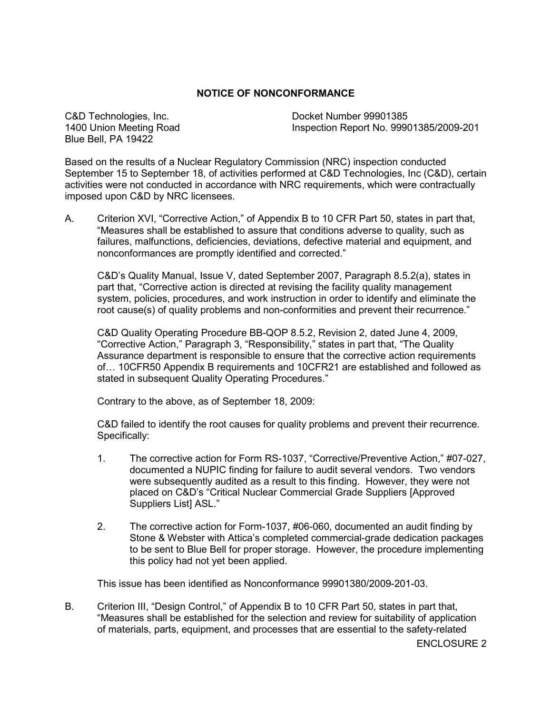## **NOTICE OF NONCONFORMANCE**

C&D Technologies, Inc. Docket Number 99901385 Blue Bell, PA 19422

1400 Union Meeting Road Inspection Report No. 99901385/2009-201

Based on the results of a Nuclear Regulatory Commission (NRC) inspection conducted September 15 to September 18, of activities performed at C&D Technologies, Inc (C&D), certain activities were not conducted in accordance with NRC requirements, which were contractually imposed upon C&D by NRC licensees.

A. Criterion XVI, "Corrective Action," of Appendix B to 10 CFR Part 50, states in part that, "Measures shall be established to assure that conditions adverse to quality, such as failures, malfunctions, deficiencies, deviations, defective material and equipment, and nonconformances are promptly identified and corrected."

C&D's Quality Manual, Issue V, dated September 2007, Paragraph 8.5.2(a), states in part that, "Corrective action is directed at revising the facility quality management system, policies, procedures, and work instruction in order to identify and eliminate the root cause(s) of quality problems and non-conformities and prevent their recurrence."

C&D Quality Operating Procedure BB-QOP 8.5.2, Revision 2, dated June 4, 2009, "Corrective Action," Paragraph 3, "Responsibility," states in part that, "The Quality Assurance department is responsible to ensure that the corrective action requirements of… 10CFR50 Appendix B requirements and 10CFR21 are established and followed as stated in subsequent Quality Operating Procedures."

Contrary to the above, as of September 18, 2009:

C&D failed to identify the root causes for quality problems and prevent their recurrence. Specifically:

- 1. The corrective action for Form RS-1037, "Corrective/Preventive Action," #07-027, documented a NUPIC finding for failure to audit several vendors. Two vendors were subsequently audited as a result to this finding. However, they were not placed on C&D's "Critical Nuclear Commercial Grade Suppliers [Approved Suppliers List] ASL."
- 2. The corrective action for Form-1037, #06-060, documented an audit finding by Stone & Webster with Attica's completed commercial-grade dedication packages to be sent to Blue Bell for proper storage. However, the procedure implementing this policy had not yet been applied.

This issue has been identified as Nonconformance 99901380/2009-201-03.

B. Criterion III, "Design Control," of Appendix B to 10 CFR Part 50, states in part that, "Measures shall be established for the selection and review for suitability of application of materials, parts, equipment, and processes that are essential to the safety-related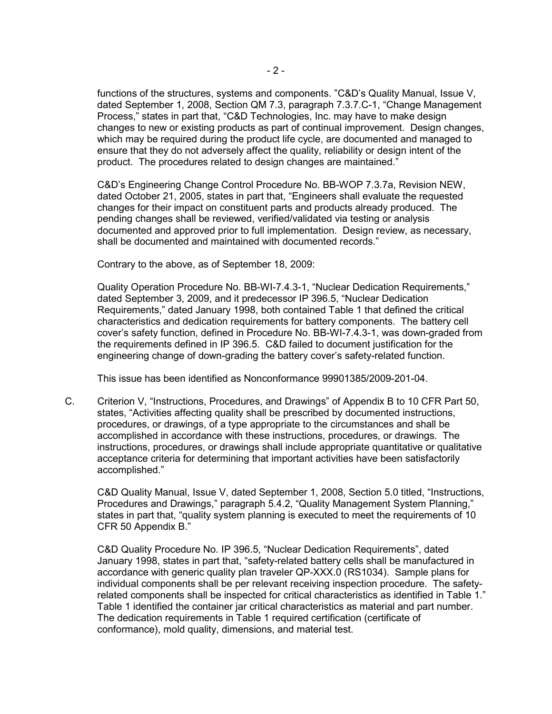functions of the structures, systems and components. "C&D's Quality Manual, Issue V, dated September 1, 2008, Section QM 7.3, paragraph 7.3.7.C-1, "Change Management Process," states in part that, "C&D Technologies, Inc. may have to make design changes to new or existing products as part of continual improvement. Design changes, which may be required during the product life cycle, are documented and managed to ensure that they do not adversely affect the quality, reliability or design intent of the product. The procedures related to design changes are maintained."

C&D's Engineering Change Control Procedure No. BB-WOP 7.3.7a, Revision NEW, dated October 21, 2005, states in part that, "Engineers shall evaluate the requested changes for their impact on constituent parts and products already produced. The pending changes shall be reviewed, verified/validated via testing or analysis documented and approved prior to full implementation. Design review, as necessary, shall be documented and maintained with documented records."

Contrary to the above, as of September 18, 2009:

Quality Operation Procedure No. BB-WI-7.4.3-1, "Nuclear Dedication Requirements," dated September 3, 2009, and it predecessor IP 396.5, "Nuclear Dedication Requirements," dated January 1998, both contained Table 1 that defined the critical characteristics and dedication requirements for battery components. The battery cell cover's safety function, defined in Procedure No. BB-WI-7.4.3-1, was down-graded from the requirements defined in IP 396.5. C&D failed to document justification for the engineering change of down-grading the battery cover's safety-related function.

This issue has been identified as Nonconformance 99901385/2009-201-04.

C. Criterion V, "Instructions, Procedures, and Drawings" of Appendix B to 10 CFR Part 50, states, "Activities affecting quality shall be prescribed by documented instructions, procedures, or drawings, of a type appropriate to the circumstances and shall be accomplished in accordance with these instructions, procedures, or drawings. The instructions, procedures, or drawings shall include appropriate quantitative or qualitative acceptance criteria for determining that important activities have been satisfactorily accomplished."

C&D Quality Manual, Issue V, dated September 1, 2008, Section 5.0 titled, "Instructions, Procedures and Drawings," paragraph 5.4.2, "Quality Management System Planning," states in part that, "quality system planning is executed to meet the requirements of 10 CFR 50 Appendix B."

C&D Quality Procedure No. IP 396.5, "Nuclear Dedication Requirements", dated January 1998, states in part that, "safety-related battery cells shall be manufactured in accordance with generic quality plan traveler QP-XXX.0 (RS1034). Sample plans for individual components shall be per relevant receiving inspection procedure. The safetyrelated components shall be inspected for critical characteristics as identified in Table 1." Table 1 identified the container jar critical characteristics as material and part number. The dedication requirements in Table 1 required certification (certificate of conformance), mold quality, dimensions, and material test.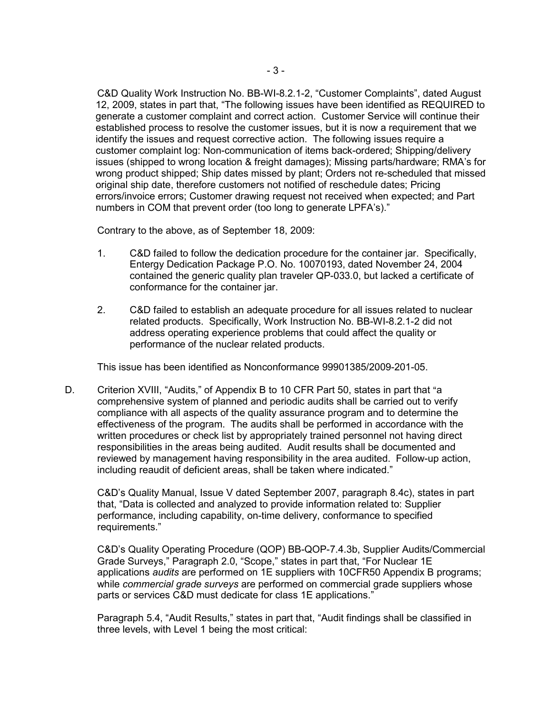C&D Quality Work Instruction No. BB-WI-8.2.1-2, "Customer Complaints", dated August 12, 2009, states in part that, "The following issues have been identified as REQUIRED to generate a customer complaint and correct action. Customer Service will continue their established process to resolve the customer issues, but it is now a requirement that we identify the issues and request corrective action. The following issues require a customer complaint log: Non-communication of items back-ordered; Shipping/delivery issues (shipped to wrong location & freight damages); Missing parts/hardware; RMA's for wrong product shipped; Ship dates missed by plant; Orders not re-scheduled that missed original ship date, therefore customers not notified of reschedule dates; Pricing errors/invoice errors; Customer drawing request not received when expected; and Part numbers in COM that prevent order (too long to generate LPFA's)."

Contrary to the above, as of September 18, 2009:

- 1. C&D failed to follow the dedication procedure for the container jar. Specifically, Entergy Dedication Package P.O. No. 10070193, dated November 24, 2004 contained the generic quality plan traveler QP-033.0, but lacked a certificate of conformance for the container jar.
- 2. C&D failed to establish an adequate procedure for all issues related to nuclear related products. Specifically, Work Instruction No. BB-WI-8.2.1-2 did not address operating experience problems that could affect the quality or performance of the nuclear related products.

This issue has been identified as Nonconformance 99901385/2009-201-05.

D. Criterion XVIII, "Audits," of Appendix B to 10 CFR Part 50, states in part that "a comprehensive system of planned and periodic audits shall be carried out to verify compliance with all aspects of the quality assurance program and to determine the effectiveness of the program. The audits shall be performed in accordance with the written procedures or check list by appropriately trained personnel not having direct responsibilities in the areas being audited. Audit results shall be documented and reviewed by management having responsibility in the area audited. Follow-up action, including reaudit of deficient areas, shall be taken where indicated."

C&D's Quality Manual, Issue V dated September 2007, paragraph 8.4c), states in part that, "Data is collected and analyzed to provide information related to: Supplier performance, including capability, on-time delivery, conformance to specified requirements."

C&D's Quality Operating Procedure (QOP) BB-QOP-7.4.3b, Supplier Audits/Commercial Grade Surveys," Paragraph 2.0, "Scope," states in part that, "For Nuclear 1E applications *audits* are performed on 1E suppliers with 10CFR50 Appendix B programs; while *commercial grade surveys* are performed on commercial grade suppliers whose parts or services C&D must dedicate for class 1E applications."

Paragraph 5.4, "Audit Results," states in part that, "Audit findings shall be classified in three levels, with Level 1 being the most critical: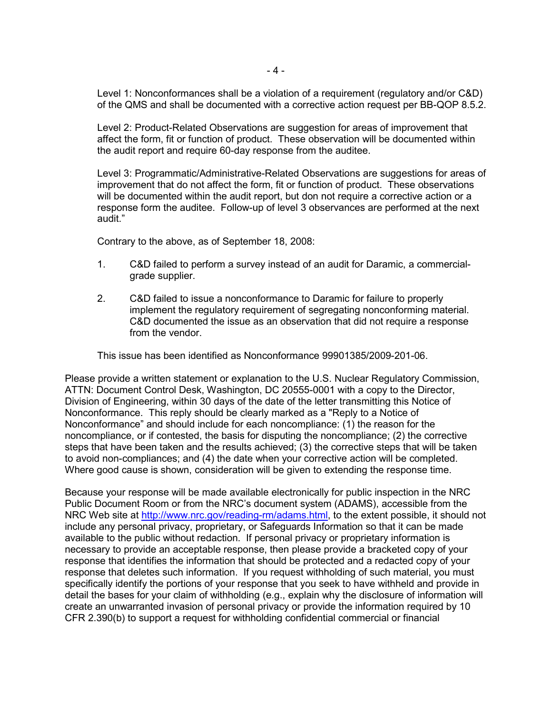Level 1: Nonconformances shall be a violation of a requirement (regulatory and/or C&D) of the QMS and shall be documented with a corrective action request per BB-QOP 8.5.2.

Level 2: Product-Related Observations are suggestion for areas of improvement that affect the form, fit or function of product. These observation will be documented within the audit report and require 60-day response from the auditee.

Level 3: Programmatic/Administrative-Related Observations are suggestions for areas of improvement that do not affect the form, fit or function of product. These observations will be documented within the audit report, but don not require a corrective action or a response form the auditee. Follow-up of level 3 observances are performed at the next audit."

Contrary to the above, as of September 18, 2008:

- 1. C&D failed to perform a survey instead of an audit for Daramic, a commercialgrade supplier.
- 2. C&D failed to issue a nonconformance to Daramic for failure to properly implement the regulatory requirement of segregating nonconforming material. C&D documented the issue as an observation that did not require a response from the vendor.

This issue has been identified as Nonconformance 99901385/2009-201-06.

Please provide a written statement or explanation to the U.S. Nuclear Regulatory Commission, ATTN: Document Control Desk, Washington, DC 20555-0001 with a copy to the Director, Division of Engineering, within 30 days of the date of the letter transmitting this Notice of Nonconformance. This reply should be clearly marked as a "Reply to a Notice of Nonconformance" and should include for each noncompliance: (1) the reason for the noncompliance, or if contested, the basis for disputing the noncompliance; (2) the corrective steps that have been taken and the results achieved; (3) the corrective steps that will be taken to avoid non-compliances; and (4) the date when your corrective action will be completed. Where good cause is shown, consideration will be given to extending the response time.

Because your response will be made available electronically for public inspection in the NRC Public Document Room or from the NRC's document system (ADAMS), accessible from the NRC Web site at http://www.nrc.gov/reading-rm/adams.html, to the extent possible, it should not include any personal privacy, proprietary, or Safeguards Information so that it can be made available to the public without redaction. If personal privacy or proprietary information is necessary to provide an acceptable response, then please provide a bracketed copy of your response that identifies the information that should be protected and a redacted copy of your response that deletes such information. If you request withholding of such material, you must specifically identify the portions of your response that you seek to have withheld and provide in detail the bases for your claim of withholding (e.g., explain why the disclosure of information will create an unwarranted invasion of personal privacy or provide the information required by 10 CFR 2.390(b) to support a request for withholding confidential commercial or financial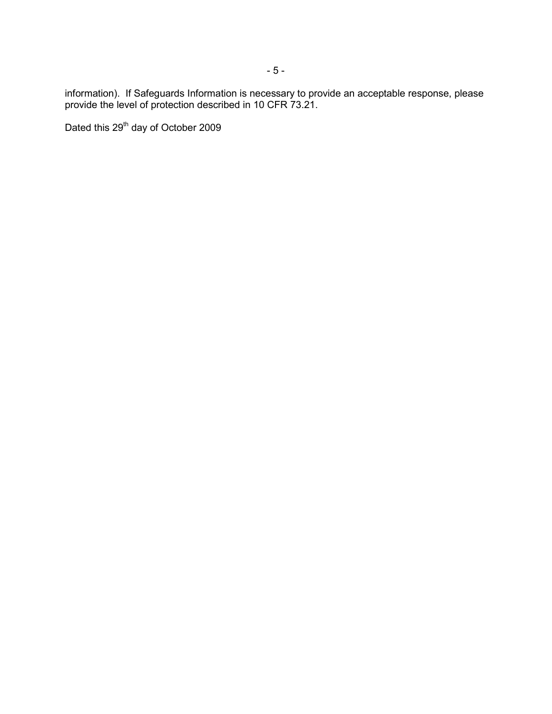information). If Safeguards Information is necessary to provide an acceptable response, please provide the level of protection described in 10 CFR 73.21.

Dated this 29<sup>th</sup> day of October 2009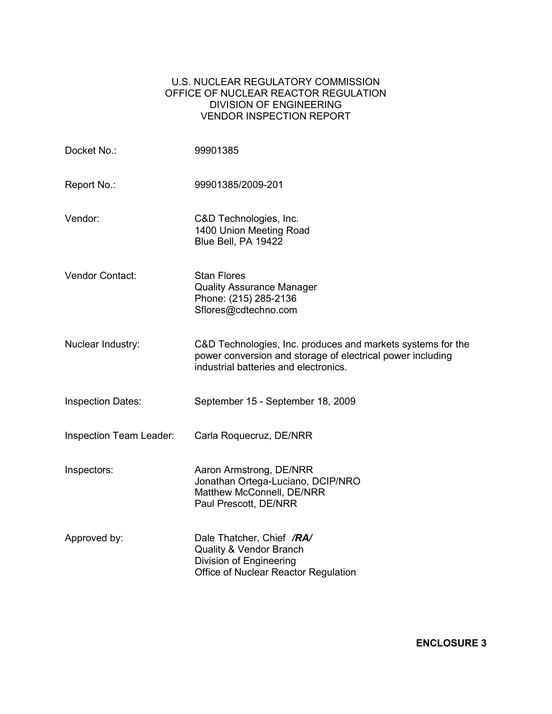## U.S. NUCLEAR REGULATORY COMMISSION OFFICE OF NUCLEAR REACTOR REGULATION DIVISION OF ENGINEERING VENDOR INSPECTION REPORT

| Docket No.:              | 99901385                                                                                                                                                           |  |
|--------------------------|--------------------------------------------------------------------------------------------------------------------------------------------------------------------|--|
| Report No.:              | 99901385/2009-201                                                                                                                                                  |  |
| Vendor:                  | C&D Technologies, Inc.<br>1400 Union Meeting Road<br>Blue Bell, PA 19422                                                                                           |  |
| Vendor Contact:          | <b>Stan Flores</b><br><b>Quality Assurance Manager</b><br>Phone: (215) 285-2136<br>Sflores@cdtechno.com                                                            |  |
| Nuclear Industry:        | C&D Technologies, Inc. produces and markets systems for the<br>power conversion and storage of electrical power including<br>industrial batteries and electronics. |  |
| <b>Inspection Dates:</b> | September 15 - September 18, 2009                                                                                                                                  |  |
| Inspection Team Leader:  | Carla Roquecruz, DE/NRR                                                                                                                                            |  |
| Inspectors:              | Aaron Armstrong, DE/NRR<br>Jonathan Ortega-Luciano, DCIP/NRO<br>Matthew McConnell, DE/NRR<br>Paul Prescott, DE/NRR                                                 |  |
| Approved by:             | Dale Thatcher, Chief /RA/<br>Quality & Vendor Branch<br>Division of Engineering<br>Office of Nuclear Reactor Regulation                                            |  |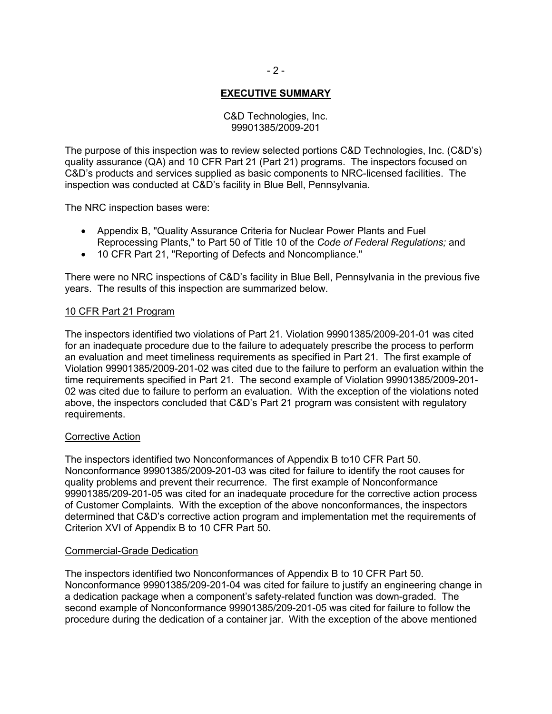# **EXECUTIVE SUMMARY**

## C&D Technologies, Inc. 99901385/2009-201

The purpose of this inspection was to review selected portions C&D Technologies, Inc. (C&D's) quality assurance (QA) and 10 CFR Part 21 (Part 21) programs. The inspectors focused on C&D's products and services supplied as basic components to NRC-licensed facilities. The inspection was conducted at C&D's facility in Blue Bell, Pennsylvania.

The NRC inspection bases were:

- Appendix B, "Quality Assurance Criteria for Nuclear Power Plants and Fuel Reprocessing Plants," to Part 50 of Title 10 of the *Code of Federal Regulations;* and
- 10 CFR Part 21, "Reporting of Defects and Noncompliance."

There were no NRC inspections of C&D's facility in Blue Bell, Pennsylvania in the previous five years. The results of this inspection are summarized below.

## 10 CFR Part 21 Program

The inspectors identified two violations of Part 21. Violation 99901385/2009-201-01 was cited for an inadequate procedure due to the failure to adequately prescribe the process to perform an evaluation and meet timeliness requirements as specified in Part 21. The first example of Violation 99901385/2009-201-02 was cited due to the failure to perform an evaluation within the time requirements specified in Part 21. The second example of Violation 99901385/2009-201- 02 was cited due to failure to perform an evaluation. With the exception of the violations noted above, the inspectors concluded that C&D's Part 21 program was consistent with regulatory requirements.

### Corrective Action

The inspectors identified two Nonconformances of Appendix B to10 CFR Part 50. Nonconformance 99901385/2009-201-03 was cited for failure to identify the root causes for quality problems and prevent their recurrence. The first example of Nonconformance 99901385/209-201-05 was cited for an inadequate procedure for the corrective action process of Customer Complaints. With the exception of the above nonconformances, the inspectors determined that C&D's corrective action program and implementation met the requirements of Criterion XVI of Appendix B to 10 CFR Part 50.

### Commercial-Grade Dedication

The inspectors identified two Nonconformances of Appendix B to 10 CFR Part 50. Nonconformance 99901385/209-201-04 was cited for failure to justify an engineering change in a dedication package when a component's safety-related function was down-graded. The second example of Nonconformance 99901385/209-201-05 was cited for failure to follow the procedure during the dedication of a container jar. With the exception of the above mentioned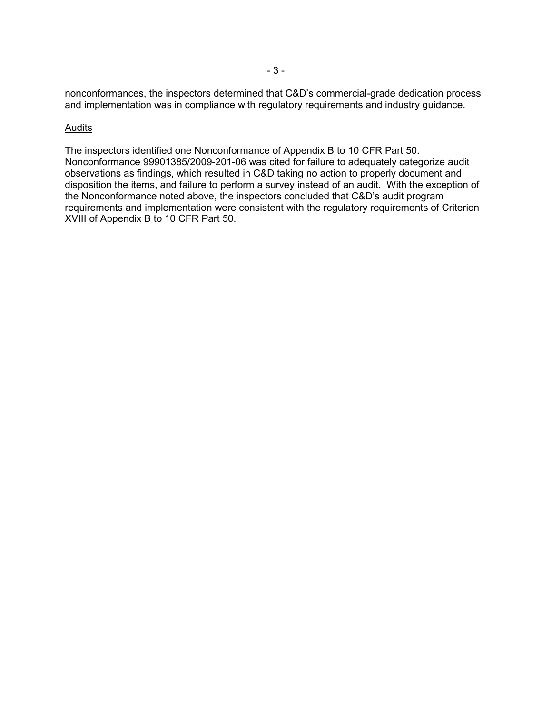nonconformances, the inspectors determined that C&D's commercial-grade dedication process and implementation was in compliance with regulatory requirements and industry guidance.

#### Audits

The inspectors identified one Nonconformance of Appendix B to 10 CFR Part 50. Nonconformance 99901385/2009-201-06 was cited for failure to adequately categorize audit observations as findings, which resulted in C&D taking no action to properly document and disposition the items, and failure to perform a survey instead of an audit. With the exception of the Nonconformance noted above, the inspectors concluded that C&D's audit program requirements and implementation were consistent with the regulatory requirements of Criterion XVIII of Appendix B to 10 CFR Part 50.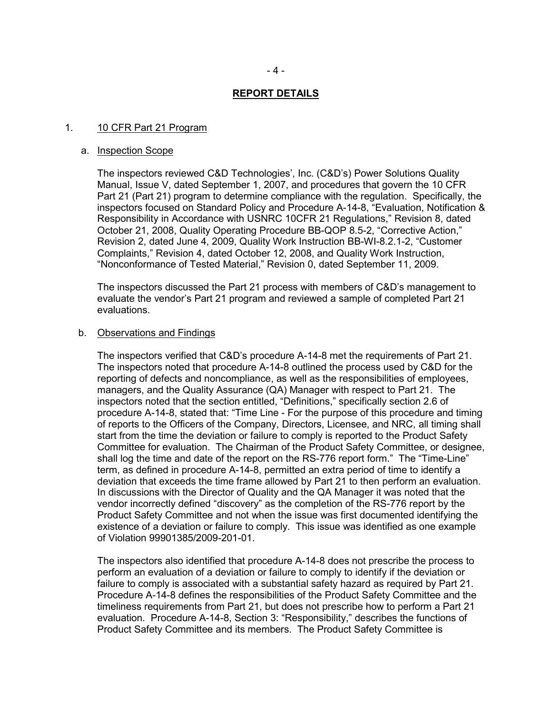#### **REPORT DETAILS**

#### 1. 10 CFR Part 21 Program

#### a. Inspection Scope

The inspectors reviewed C&D Technologies', Inc. (C&D's) Power Solutions Quality Manual, Issue V, dated September 1, 2007, and procedures that govern the 10 CFR Part 21 (Part 21) program to determine compliance with the regulation. Specifically, the inspectors focused on Standard Policy and Procedure A-14-8, "Evaluation, Notification & Responsibility in Accordance with USNRC 10CFR 21 Regulations," Revision 8, dated October 21, 2008, Quality Operating Procedure BB-QOP 8.5-2, "Corrective Action," Revision 2, dated June 4, 2009, Quality Work Instruction BB-WI-8.2.1-2, "Customer Complaints," Revision 4, dated October 12, 2008, and Quality Work Instruction, "Nonconformance of Tested Material," Revision 0, dated September 11, 2009.

The inspectors discussed the Part 21 process with members of C&D's management to evaluate the vendor's Part 21 program and reviewed a sample of completed Part 21 evaluations.

#### b. Observations and Findings

The inspectors verified that C&D's procedure A-14-8 met the requirements of Part 21. The inspectors noted that procedure A-14-8 outlined the process used by C&D for the reporting of defects and noncompliance, as well as the responsibilities of employees, managers, and the Quality Assurance (QA) Manager with respect to Part 21. The inspectors noted that the section entitled, "Definitions," specifically section 2.6 of procedure A-14-8, stated that: "Time Line - For the purpose of this procedure and timing of reports to the Officers of the Company, Directors, Licensee, and NRC, all timing shall start from the time the deviation or failure to comply is reported to the Product Safety Committee for evaluation. The Chairman of the Product Safety Committee, or designee, shall log the time and date of the report on the RS-776 report form." The "Time-Line" term, as defined in procedure A-14-8, permitted an extra period of time to identify a deviation that exceeds the time frame allowed by Part 21 to then perform an evaluation. In discussions with the Director of Quality and the QA Manager it was noted that the vendor incorrectly defined "discovery" as the completion of the RS-776 report by the Product Safety Committee and not when the issue was first documented identifying the existence of a deviation or failure to comply. This issue was identified as one example of Violation 99901385/2009-201-01.

The inspectors also identified that procedure A-14-8 does not prescribe the process to perform an evaluation of a deviation or failure to comply to identify if the deviation or failure to comply is associated with a substantial safety hazard as required by Part 21. Procedure A-14-8 defines the responsibilities of the Product Safety Committee and the timeliness requirements from Part 21, but does not prescribe how to perform a Part 21 evaluation. Procedure A-14-8, Section 3: "Responsibility," describes the functions of Product Safety Committee and its members. The Product Safety Committee is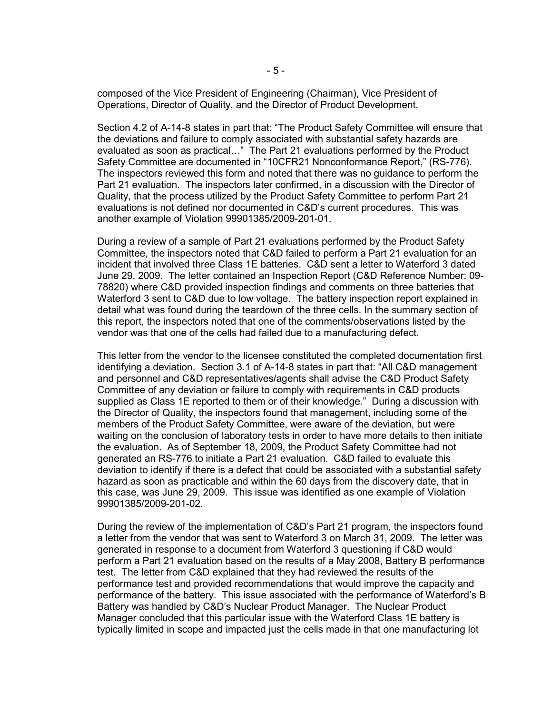composed of the Vice President of Engineering (Chairman), Vice President of Operations, Director of Quality, and the Director of Product Development.

Section 4.2 of A-14-8 states in part that: "The Product Safety Committee will ensure that the deviations and failure to comply associated with substantial safety hazards are evaluated as soon as practical…" The Part 21 evaluations performed by the Product Safety Committee are documented in "10CFR21 Nonconformance Report," (RS-776). The inspectors reviewed this form and noted that there was no guidance to perform the Part 21 evaluation. The inspectors later confirmed, in a discussion with the Director of Quality, that the process utilized by the Product Safety Committee to perform Part 21 evaluations is not defined nor documented in C&D's current procedures. This was another example of Violation 99901385/2009-201-01.

During a review of a sample of Part 21 evaluations performed by the Product Safety Committee, the inspectors noted that C&D failed to perform a Part 21 evaluation for an incident that involved three Class 1E batteries. C&D sent a letter to Waterford 3 dated June 29, 2009. The letter contained an Inspection Report (C&D Reference Number: 09- 78820) where C&D provided inspection findings and comments on three batteries that Waterford 3 sent to C&D due to low voltage. The battery inspection report explained in detail what was found during the teardown of the three cells. In the summary section of this report, the inspectors noted that one of the comments/observations listed by the vendor was that one of the cells had failed due to a manufacturing defect.

This letter from the vendor to the licensee constituted the completed documentation first identifying a deviation. Section 3.1 of A-14-8 states in part that: "All C&D management and personnel and C&D representatives/agents shall advise the C&D Product Safety Committee of any deviation or failure to comply with requirements in C&D products supplied as Class 1E reported to them or of their knowledge." During a discussion with the Director of Quality, the inspectors found that management, including some of the members of the Product Safety Committee, were aware of the deviation, but were waiting on the conclusion of laboratory tests in order to have more details to then initiate the evaluation. As of September 18, 2009, the Product Safety Committee had not generated an RS-776 to initiate a Part 21 evaluation. C&D failed to evaluate this deviation to identify if there is a defect that could be associated with a substantial safety hazard as soon as practicable and within the 60 days from the discovery date, that in this case, was June 29, 2009. This issue was identified as one example of Violation 99901385/2009-201-02.

During the review of the implementation of C&D's Part 21 program, the inspectors found a letter from the vendor that was sent to Waterford 3 on March 31, 2009. The letter was generated in response to a document from Waterford 3 questioning if C&D would perform a Part 21 evaluation based on the results of a May 2008, Battery B performance test. The letter from C&D explained that they had reviewed the results of the performance test and provided recommendations that would improve the capacity and performance of the battery. This issue associated with the performance of Waterford's B Battery was handled by C&D's Nuclear Product Manager. The Nuclear Product Manager concluded that this particular issue with the Waterford Class 1E battery is typically limited in scope and impacted just the cells made in that one manufacturing lot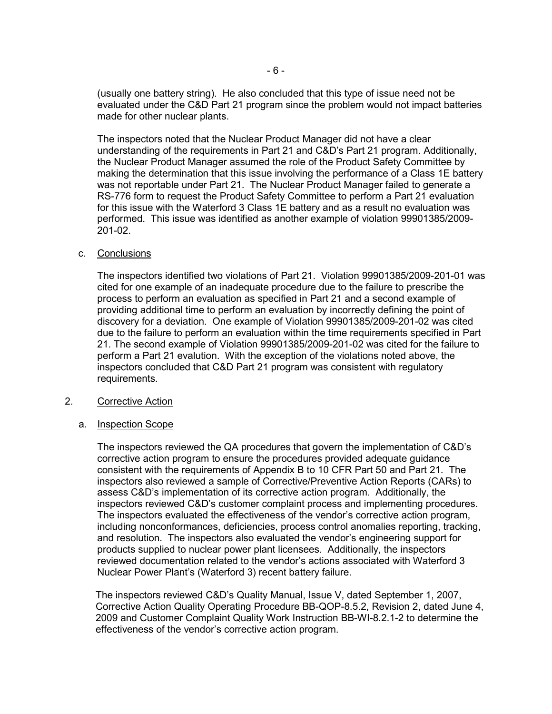(usually one battery string). He also concluded that this type of issue need not be evaluated under the C&D Part 21 program since the problem would not impact batteries made for other nuclear plants.

The inspectors noted that the Nuclear Product Manager did not have a clear understanding of the requirements in Part 21 and C&D's Part 21 program. Additionally, the Nuclear Product Manager assumed the role of the Product Safety Committee by making the determination that this issue involving the performance of a Class 1E battery was not reportable under Part 21. The Nuclear Product Manager failed to generate a RS-776 form to request the Product Safety Committee to perform a Part 21 evaluation for this issue with the Waterford 3 Class 1E battery and as a result no evaluation was performed. This issue was identified as another example of violation 99901385/2009- 201-02.

### c. Conclusions

The inspectors identified two violations of Part 21. Violation 99901385/2009-201-01 was cited for one example of an inadequate procedure due to the failure to prescribe the process to perform an evaluation as specified in Part 21 and a second example of providing additional time to perform an evaluation by incorrectly defining the point of discovery for a deviation. One example of Violation 99901385/2009-201-02 was cited due to the failure to perform an evaluation within the time requirements specified in Part 21. The second example of Violation 99901385/2009-201-02 was cited for the failure to perform a Part 21 evalution. With the exception of the violations noted above, the inspectors concluded that C&D Part 21 program was consistent with regulatory requirements.

## 2. Corrective Action

### a. Inspection Scope

The inspectors reviewed the QA procedures that govern the implementation of C&D's corrective action program to ensure the procedures provided adequate guidance consistent with the requirements of Appendix B to 10 CFR Part 50 and Part 21. The inspectors also reviewed a sample of Corrective/Preventive Action Reports (CARs) to assess C&D's implementation of its corrective action program. Additionally, the inspectors reviewed C&D's customer complaint process and implementing procedures. The inspectors evaluated the effectiveness of the vendor's corrective action program, including nonconformances, deficiencies, process control anomalies reporting, tracking, and resolution. The inspectors also evaluated the vendor's engineering support for products supplied to nuclear power plant licensees. Additionally, the inspectors reviewed documentation related to the vendor's actions associated with Waterford 3 Nuclear Power Plant's (Waterford 3) recent battery failure.

The inspectors reviewed C&D's Quality Manual, Issue V, dated September 1, 2007, Corrective Action Quality Operating Procedure BB-QOP-8.5.2, Revision 2, dated June 4, 2009 and Customer Complaint Quality Work Instruction BB-WI-8.2.1-2 to determine the effectiveness of the vendor's corrective action program.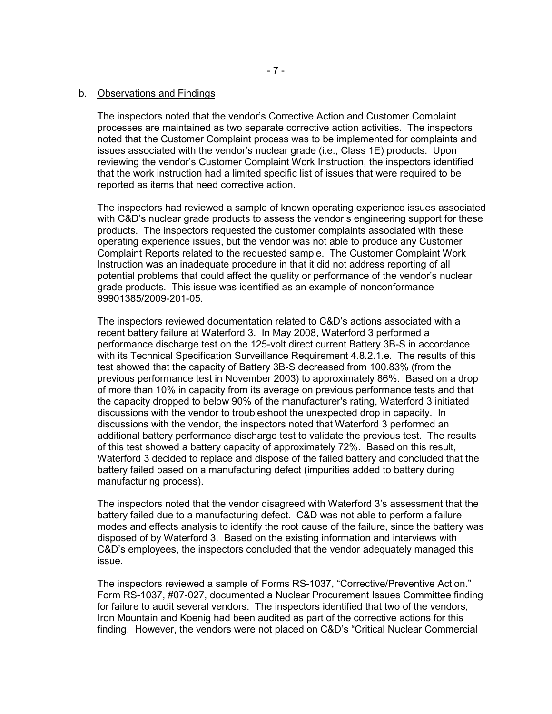#### b. Observations and Findings

The inspectors noted that the vendor's Corrective Action and Customer Complaint processes are maintained as two separate corrective action activities. The inspectors noted that the Customer Complaint process was to be implemented for complaints and issues associated with the vendor's nuclear grade (i.e., Class 1E) products. Upon reviewing the vendor's Customer Complaint Work Instruction, the inspectors identified that the work instruction had a limited specific list of issues that were required to be reported as items that need corrective action.

The inspectors had reviewed a sample of known operating experience issues associated with C&D's nuclear grade products to assess the vendor's engineering support for these products. The inspectors requested the customer complaints associated with these operating experience issues, but the vendor was not able to produce any Customer Complaint Reports related to the requested sample. The Customer Complaint Work Instruction was an inadequate procedure in that it did not address reporting of all potential problems that could affect the quality or performance of the vendor's nuclear grade products. This issue was identified as an example of nonconformance 99901385/2009-201-05.

The inspectors reviewed documentation related to C&D's actions associated with a recent battery failure at Waterford 3. In May 2008, Waterford 3 performed a performance discharge test on the 125-volt direct current Battery 3B-S in accordance with its Technical Specification Surveillance Requirement 4.8.2.1.e. The results of this test showed that the capacity of Battery 3B-S decreased from 100.83% (from the previous performance test in November 2003) to approximately 86%. Based on a drop of more than 10% in capacity from its average on previous performance tests and that the capacity dropped to below 90% of the manufacturer's rating, Waterford 3 initiated discussions with the vendor to troubleshoot the unexpected drop in capacity. In discussions with the vendor, the inspectors noted that Waterford 3 performed an additional battery performance discharge test to validate the previous test. The results of this test showed a battery capacity of approximately 72%. Based on this result, Waterford 3 decided to replace and dispose of the failed battery and concluded that the battery failed based on a manufacturing defect (impurities added to battery during manufacturing process).

The inspectors noted that the vendor disagreed with Waterford 3's assessment that the battery failed due to a manufacturing defect. C&D was not able to perform a failure modes and effects analysis to identify the root cause of the failure, since the battery was disposed of by Waterford 3. Based on the existing information and interviews with C&D's employees, the inspectors concluded that the vendor adequately managed this issue.

The inspectors reviewed a sample of Forms RS-1037, "Corrective/Preventive Action." Form RS-1037, #07-027, documented a Nuclear Procurement Issues Committee finding for failure to audit several vendors. The inspectors identified that two of the vendors, Iron Mountain and Koenig had been audited as part of the corrective actions for this finding. However, the vendors were not placed on C&D's "Critical Nuclear Commercial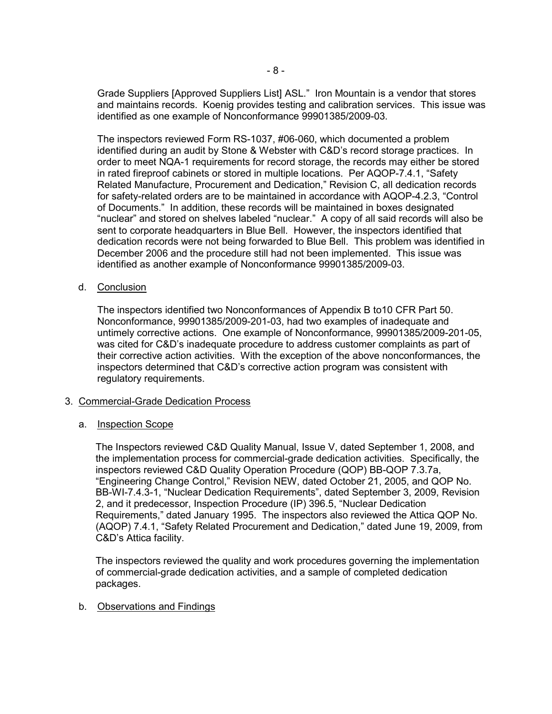Grade Suppliers [Approved Suppliers List] ASL." Iron Mountain is a vendor that stores and maintains records. Koenig provides testing and calibration services. This issue was identified as one example of Nonconformance 99901385/2009-03.

The inspectors reviewed Form RS-1037, #06-060, which documented a problem identified during an audit by Stone & Webster with C&D's record storage practices. In order to meet NQA-1 requirements for record storage, the records may either be stored in rated fireproof cabinets or stored in multiple locations. Per AQOP-7.4.1, "Safety Related Manufacture, Procurement and Dedication," Revision C, all dedication records for safety-related orders are to be maintained in accordance with AQOP-4.2.3, "Control of Documents." In addition, these records will be maintained in boxes designated "nuclear" and stored on shelves labeled "nuclear." A copy of all said records will also be sent to corporate headquarters in Blue Bell. However, the inspectors identified that dedication records were not being forwarded to Blue Bell. This problem was identified in December 2006 and the procedure still had not been implemented. This issue was identified as another example of Nonconformance 99901385/2009-03.

## d. Conclusion

The inspectors identified two Nonconformances of Appendix B to10 CFR Part 50. Nonconformance, 99901385/2009-201-03, had two examples of inadequate and untimely corrective actions. One example of Nonconformance, 99901385/2009-201-05, was cited for C&D's inadequate procedure to address customer complaints as part of their corrective action activities. With the exception of the above nonconformances, the inspectors determined that C&D's corrective action program was consistent with regulatory requirements.

### 3. Commercial-Grade Dedication Process

# a. Inspection Scope

The Inspectors reviewed C&D Quality Manual, Issue V, dated September 1, 2008, and the implementation process for commercial-grade dedication activities. Specifically, the inspectors reviewed C&D Quality Operation Procedure (QOP) BB-QOP 7.3.7a, "Engineering Change Control," Revision NEW, dated October 21, 2005, and QOP No. BB-WI-7.4.3-1, "Nuclear Dedication Requirements", dated September 3, 2009, Revision 2, and it predecessor, Inspection Procedure (IP) 396.5, "Nuclear Dedication Requirements," dated January 1995. The inspectors also reviewed the Attica QOP No. (AQOP) 7.4.1, "Safety Related Procurement and Dedication," dated June 19, 2009, from C&D's Attica facility.

The inspectors reviewed the quality and work procedures governing the implementation of commercial-grade dedication activities, and a sample of completed dedication packages.

### b. Observations and Findings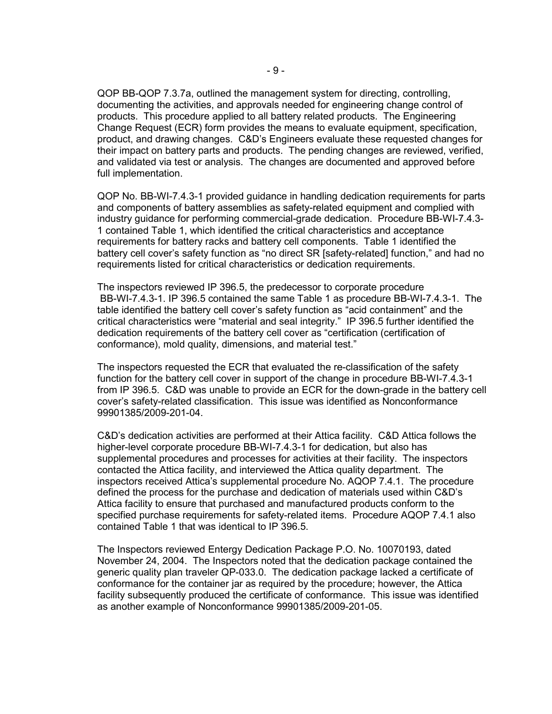QOP BB-QOP 7.3.7a, outlined the management system for directing, controlling, documenting the activities, and approvals needed for engineering change control of products. This procedure applied to all battery related products. The Engineering Change Request (ECR) form provides the means to evaluate equipment, specification, product, and drawing changes. C&D's Engineers evaluate these requested changes for their impact on battery parts and products. The pending changes are reviewed, verified, and validated via test or analysis. The changes are documented and approved before full implementation.

QOP No. BB-WI-7.4.3-1 provided guidance in handling dedication requirements for parts and components of battery assemblies as safety-related equipment and complied with industry guidance for performing commercial-grade dedication. Procedure BB-WI-7.4.3- 1 contained Table 1, which identified the critical characteristics and acceptance requirements for battery racks and battery cell components. Table 1 identified the battery cell cover's safety function as "no direct SR [safety-related] function," and had no requirements listed for critical characteristics or dedication requirements.

The inspectors reviewed IP 396.5, the predecessor to corporate procedure BB-WI-7.4.3-1. IP 396.5 contained the same Table 1 as procedure BB-WI-7.4.3-1. The table identified the battery cell cover's safety function as "acid containment" and the critical characteristics were "material and seal integrity." IP 396.5 further identified the dedication requirements of the battery cell cover as "certification (certification of conformance), mold quality, dimensions, and material test."

The inspectors requested the ECR that evaluated the re-classification of the safety function for the battery cell cover in support of the change in procedure BB-WI-7.4.3-1 from IP 396.5. C&D was unable to provide an ECR for the down-grade in the battery cell cover's safety-related classification. This issue was identified as Nonconformance 99901385/2009-201-04.

C&D's dedication activities are performed at their Attica facility. C&D Attica follows the higher-level corporate procedure BB-WI-7.4.3-1 for dedication, but also has supplemental procedures and processes for activities at their facility. The inspectors contacted the Attica facility, and interviewed the Attica quality department. The inspectors received Attica's supplemental procedure No. AQOP 7.4.1. The procedure defined the process for the purchase and dedication of materials used within C&D's Attica facility to ensure that purchased and manufactured products conform to the specified purchase requirements for safety-related items. Procedure AQOP 7.4.1 also contained Table 1 that was identical to IP 396.5.

The Inspectors reviewed Entergy Dedication Package P.O. No. 10070193, dated November 24, 2004. The Inspectors noted that the dedication package contained the generic quality plan traveler QP-033.0. The dedication package lacked a certificate of conformance for the container jar as required by the procedure; however, the Attica facility subsequently produced the certificate of conformance. This issue was identified as another example of Nonconformance 99901385/2009-201-05.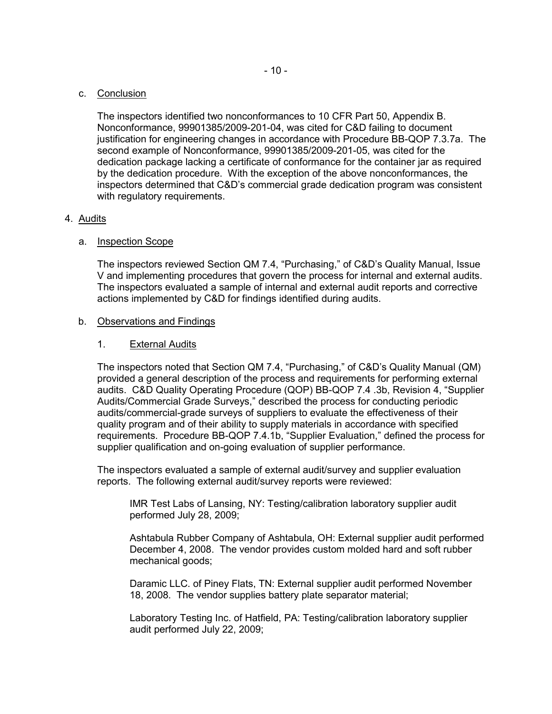### c. Conclusion

The inspectors identified two nonconformances to 10 CFR Part 50, Appendix B. Nonconformance, 99901385/2009-201-04, was cited for C&D failing to document justification for engineering changes in accordance with Procedure BB-QOP 7.3.7a. The second example of Nonconformance, 99901385/2009-201-05, was cited for the dedication package lacking a certificate of conformance for the container jar as required by the dedication procedure. With the exception of the above nonconformances, the inspectors determined that C&D's commercial grade dedication program was consistent with regulatory requirements.

## 4. Audits

## a. Inspection Scope

The inspectors reviewed Section QM 7.4, "Purchasing," of C&D's Quality Manual, Issue V and implementing procedures that govern the process for internal and external audits. The inspectors evaluated a sample of internal and external audit reports and corrective actions implemented by C&D for findings identified during audits.

### b. Observations and Findings

## 1. External Audits

The inspectors noted that Section QM 7.4, "Purchasing," of C&D's Quality Manual (QM) provided a general description of the process and requirements for performing external audits. C&D Quality Operating Procedure (QOP) BB-QOP 7.4 .3b, Revision 4, "Supplier Audits/Commercial Grade Surveys," described the process for conducting periodic audits/commercial-grade surveys of suppliers to evaluate the effectiveness of their quality program and of their ability to supply materials in accordance with specified requirements. Procedure BB-QOP 7.4.1b, "Supplier Evaluation," defined the process for supplier qualification and on-going evaluation of supplier performance.

The inspectors evaluated a sample of external audit/survey and supplier evaluation reports. The following external audit/survey reports were reviewed:

IMR Test Labs of Lansing, NY: Testing/calibration laboratory supplier audit performed July 28, 2009;

Ashtabula Rubber Company of Ashtabula, OH: External supplier audit performed December 4, 2008. The vendor provides custom molded hard and soft rubber mechanical goods;

Daramic LLC. of Piney Flats, TN: External supplier audit performed November 18, 2008. The vendor supplies battery plate separator material;

Laboratory Testing Inc. of Hatfield, PA: Testing/calibration laboratory supplier audit performed July 22, 2009;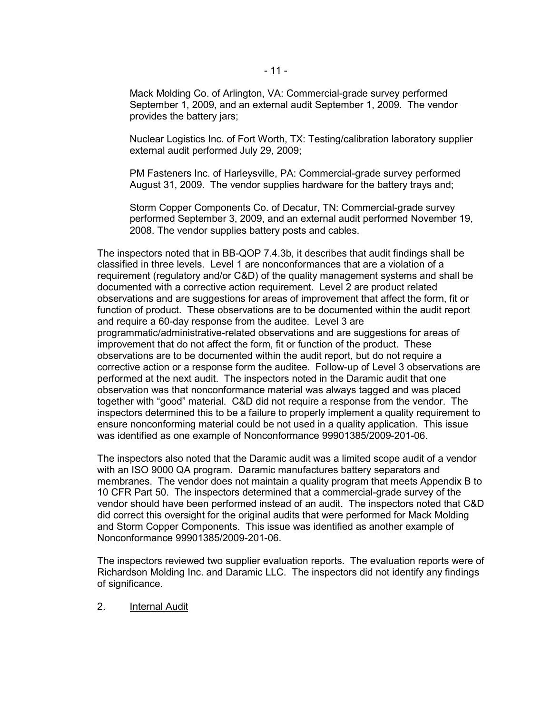Mack Molding Co. of Arlington, VA: Commercial-grade survey performed September 1, 2009, and an external audit September 1, 2009. The vendor provides the battery jars;

Nuclear Logistics Inc. of Fort Worth, TX: Testing/calibration laboratory supplier external audit performed July 29, 2009;

PM Fasteners Inc. of Harleysville, PA: Commercial-grade survey performed August 31, 2009. The vendor supplies hardware for the battery trays and;

Storm Copper Components Co. of Decatur, TN: Commercial-grade survey performed September 3, 2009, and an external audit performed November 19, 2008. The vendor supplies battery posts and cables.

The inspectors noted that in BB-QOP 7.4.3b, it describes that audit findings shall be classified in three levels. Level 1 are nonconformances that are a violation of a requirement (regulatory and/or C&D) of the quality management systems and shall be documented with a corrective action requirement. Level 2 are product related observations and are suggestions for areas of improvement that affect the form, fit or function of product. These observations are to be documented within the audit report and require a 60-day response from the auditee. Level 3 are programmatic/administrative-related observations and are suggestions for areas of improvement that do not affect the form, fit or function of the product. These observations are to be documented within the audit report, but do not require a corrective action or a response form the auditee. Follow-up of Level 3 observations are performed at the next audit. The inspectors noted in the Daramic audit that one observation was that nonconformance material was always tagged and was placed together with "good" material. C&D did not require a response from the vendor. The inspectors determined this to be a failure to properly implement a quality requirement to ensure nonconforming material could be not used in a quality application. This issue was identified as one example of Nonconformance 99901385/2009-201-06.

The inspectors also noted that the Daramic audit was a limited scope audit of a vendor with an ISO 9000 QA program. Daramic manufactures battery separators and membranes. The vendor does not maintain a quality program that meets Appendix B to 10 CFR Part 50. The inspectors determined that a commercial-grade survey of the vendor should have been performed instead of an audit. The inspectors noted that C&D did correct this oversight for the original audits that were performed for Mack Molding and Storm Copper Components. This issue was identified as another example of Nonconformance 99901385/2009-201-06.

The inspectors reviewed two supplier evaluation reports. The evaluation reports were of Richardson Molding Inc. and Daramic LLC. The inspectors did not identify any findings of significance.

#### 2. Internal Audit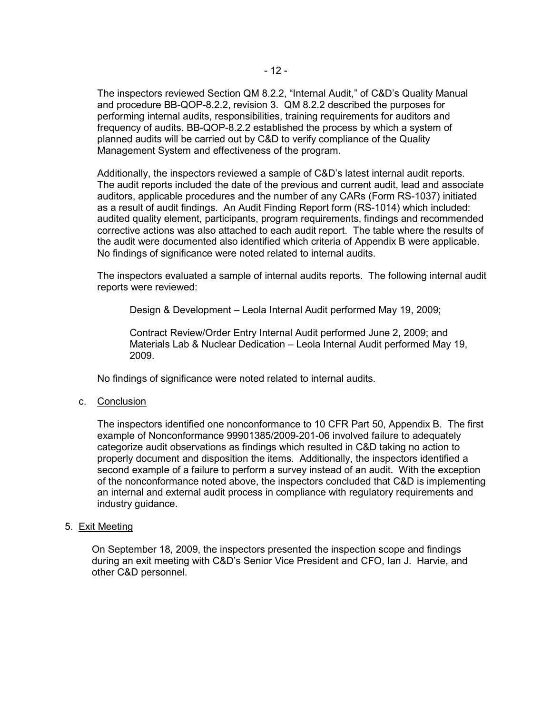The inspectors reviewed Section QM 8.2.2, "Internal Audit," of C&D's Quality Manual and procedure BB-QOP-8.2.2, revision 3. QM 8.2.2 described the purposes for performing internal audits, responsibilities, training requirements for auditors and frequency of audits. BB-QOP-8.2.2 established the process by which a system of planned audits will be carried out by C&D to verify compliance of the Quality Management System and effectiveness of the program.

Additionally, the inspectors reviewed a sample of C&D's latest internal audit reports. The audit reports included the date of the previous and current audit, lead and associate auditors, applicable procedures and the number of any CARs (Form RS-1037) initiated as a result of audit findings. An Audit Finding Report form (RS-1014) which included: audited quality element, participants, program requirements, findings and recommended corrective actions was also attached to each audit report. The table where the results of the audit were documented also identified which criteria of Appendix B were applicable. No findings of significance were noted related to internal audits.

The inspectors evaluated a sample of internal audits reports. The following internal audit reports were reviewed:

Design & Development – Leola Internal Audit performed May 19, 2009;

Contract Review/Order Entry Internal Audit performed June 2, 2009; and Materials Lab & Nuclear Dedication – Leola Internal Audit performed May 19, 2009.

No findings of significance were noted related to internal audits.

c. Conclusion

The inspectors identified one nonconformance to 10 CFR Part 50, Appendix B. The first example of Nonconformance 99901385/2009-201-06 involved failure to adequately categorize audit observations as findings which resulted in C&D taking no action to properly document and disposition the items. Additionally, the inspectors identified a second example of a failure to perform a survey instead of an audit. With the exception of the nonconformance noted above, the inspectors concluded that C&D is implementing an internal and external audit process in compliance with regulatory requirements and industry guidance.

5. Exit Meeting

On September 18, 2009, the inspectors presented the inspection scope and findings during an exit meeting with C&D's Senior Vice President and CFO, Ian J. Harvie, and other C&D personnel.